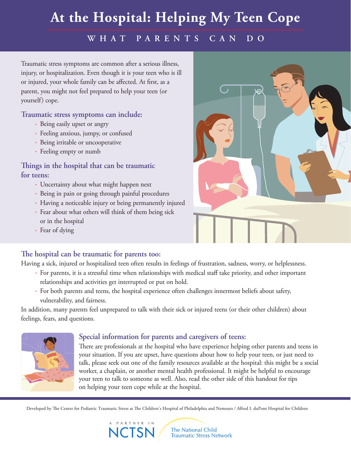# **At the Hospital: Helping My Teen Cope**

### **W H A T P ARE N T S CAN D O**

Traumatic stress symptoms are common after a serious illness, injury, or hospitalization. Even though it is your teen who is ill or injured, your whole family can be affected. At first, as a parent, you might not feel prepared to help your teen (or yourself) cope.

#### **Traumatic stress symptoms can include:**

- Being easily upset or angry
- Feeling anxious, jumpy, or confused
- Being irritable or uncooperative
- Feeling empty or numb

#### **ings in the hospital that can be traumatic for teens:**

- Uncertainty about what might happen next
- Being in pain or going through painful procedures
- Having a noticeable injury or being permanently injured
- Fear about what others will think of them being sick or in the hospital
- Fear of dying

#### **e hospital can be traumatic for parents too:**

Having a sick, injured or hospitalized teen often results in feelings of frustration, sadness, worry, or helplessness.

- For parents, it is a stressful time when relationships with medical staff take priority, and other important relationships and activities get interrupted or put on hold.
- For both parents and teens, the hospital experience often challenges innermost beliefs about safety, vulnerability, and fairness.

In addition, many parents feel unprepared to talk with their sick or injured teens (or their other children) about feelings, fears, and questions.



#### **Special information for parents and caregivers of teens:**

There are professionals at the hospital who have experience helping other parents and teens in your situation. If you are upset, have questions about how to help your teen, or just need to talk, please seek out one of the family resources available at the hospital: this might be a social worker, a chaplain, or another mental health professional. It might be helpful to encourage your teen to talk to someone as well. Also, read the other side of this handout for tips on helping your teen cope while at the hospital.

Developed by The Center for Pediatric Traumatic Stress at The Children's Hospital of Philadelphia and Nemours / Alfred I. duPont Hospital for Children

A PARTNER IN **NCTSM** 

The National Child **Traumatic Stress Network**